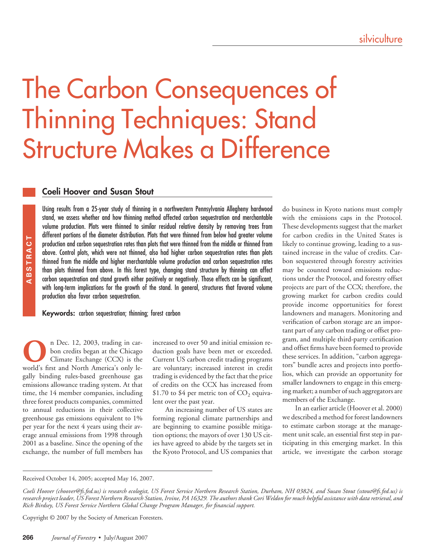# The Carbon Consequences of Thinning Techniques: Stand Structure Makes a Difference

## **Coeli Hoover and Susan Stout**

Using results from a 25-year study of thinning in a northwestern Pennsylvania Allegheny hardwood stand, we assess whether and how thinning method affected carbon sequestration and merchantable volume production. Plots were thinned to similar residual relative density by removing trees from different portions of the diameter distribution. Plots that were thinned from below had greater volume production and carbon sequestration rates than plots that were thinned from the middle or thinned from above. Control plots, which were not thinned, also had higher carbon sequestration rates than plots thinned from the middle and higher merchantable volume production and carbon sequestration rates than plots thinned from above. In this forest type, changing stand structure by thinning can affect carbon sequestration and stand growth either positively or negatively. Those effects can be significant, with long-term implications for the growth of the stand. In general, structures that favored volume production also favor carbon sequestration.

**Keywords:** carbon sequestration; thinning; forest carbon

**O**n Dec. 12, 2003, trading in car-<br>bon credits began at the Chicago<br>Climate Exchange (CCX) is the<br>world's first and North America's only lebon credits began at the Chicago Climate Exchange (CCX) is the gally binding rules-based greenhouse gas emissions allowance trading system. At that time, the 14 member companies, including three forest products companies, committed to annual reductions in their collective greenhouse gas emissions equivalent to 1% per year for the next 4 years using their average annual emissions from 1998 through 2001 as a baseline. Since the opening of the exchange, the number of full members has **26 Consumer 26 D Consumer 26 Consumer 26 Consumer 26 Consumer Consumer <b>26 Consumer 26 Consumer 26 Consumer 26 Consumer 26 Consumer 26 Consumer 26 Consumer <b>ABS Consume** 

increased to over 50 and initial emission reduction goals have been met or exceeded. Current US carbon credit trading programs are voluntary; increased interest in credit trading is evidenced by the fact that the price of credits on the CCX has increased from \$1.70 to \$4 per metric ton of  $CO<sub>2</sub>$  equivalent over the past year.

An increasing number of US states are forming regional climate partnerships and are beginning to examine possible mitigation options; the mayors of over 130 US cities have agreed to abide by the targets set in the Kyoto Protocol, and US companies that do business in Kyoto nations must comply with the emissions caps in the Protocol. These developments suggest that the market for carbon credits in the United States is likely to continue growing, leading to a sustained increase in the value of credits. Carbon sequestered through forestry activities may be counted toward emissions reductions under the Protocol, and forestry offset projects are part of the CCX; therefore, the growing market for carbon credits could provide income opportunities for forest landowners and managers. Monitoring and verification of carbon storage are an important part of any carbon trading or offset program, and multiple third-party certification and offset firms have been formed to provide these services. In addition, "carbon aggregators" bundle acres and projects into portfolios, which can provide an opportunity for smaller landowners to engage in this emerging market; a number of such aggregators are members of the Exchange.

In an earlier article (Hoover et al. 2000) we described a method for forest landowners to estimate carbon storage at the management unit scale, an essential first step in participating in this emerging market. In this article, we investigate the carbon storage

Received October 14, 2005; accepted May 16, 2007.

*Coeli Hoover (choover@fs.fed.us) is research ecologist, US Forest Service Northern Research Station, Durham, NH 03824, and Susan Stout (sstout@fs.fed.us) is research project leader, US Forest Northern Research Station, Irvine, PA 16329. The authors thank Cori Weldon for much helpful assistance with data retrieval, and Rich Birdsey, US Forest Service Northern Global Change Program Manager, for financial support.*

Copyright © 2007 by the Society of American Foresters.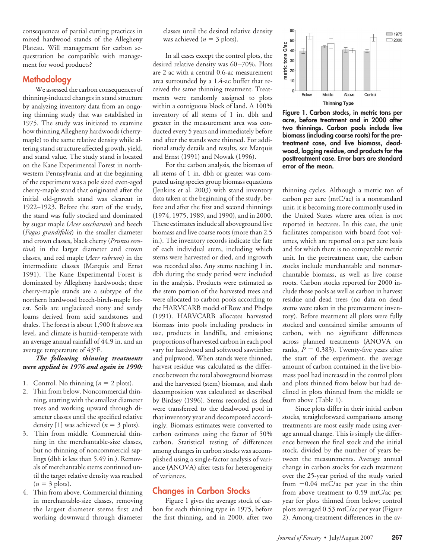consequences of partial cutting practices in mixed hardwood stands of the Allegheny Plateau. Will management for carbon sequestration be compatible with management for wood products?

## **Methodology**

We assessed the carbon consequences of thinning-induced changes in stand structure by analyzing inventory data from an ongoing thinning study that was established in 1975. The study was initiated to examine how thinning Allegheny hardwoods (cherrymaple) to the same relative density while altering stand structure affected growth, yield, and stand value. The study stand is located on the Kane Experimental Forest in northwestern Pennsylvania and at the beginning of the experiment was a pole sized even-aged cherry-maple stand that originated after the initial old-growth stand was clearcut in 1922–1923. Before the start of the study, the stand was fully stocked and dominated by sugar maple (*Acer saccharum*) and beech (*Fagus grandifolia*) in the smaller diameter and crown classes, black cherry (*Prunus serotina*) in the larger diameter and crown classes, and red maple (*Acer rubrum*) in the intermediate classes (Marquis and Ernst 1991). The Kane Experimental Forest is dominated by Allegheny hardwoods; these cherry-maple stands are a subtype of the northern hardwood beech-birch-maple forest. Soils are unglaciated stony and sandy loams derived from acid sandstones and shales. The forest is about 1,900 ft above sea level, and climate is humid–temperate with an average annual rainfall of 44.9 in. and an average temperature of 43°F.

#### *The following thinning treatments were applied in 1976 and again in 1990:*

- 1. Control. No thinning  $(n = 2$  plots).
- 2. Thin from below. Noncommercial thinning, starting with the smallest diameter trees and working upward through diameter classes until the specified relative density [1] was achieved ( $n = 3$  plots).
- 3. Thin from middle. Commercial thinning in the merchantable-size classes, but no thinning of noncommercial saplings (dbh is less than 5.49 in.). Removals of merchantable stems continued until the target relative density was reached  $(n = 3$  plots).
- 4. Thin from above. Commercial thinning in merchantable-size classes, removing the largest diameter stems first and working downward through diameter

classes until the desired relative density was achieved ( $n = 3$  plots).

In all cases except the control plots, the desired relative density was 60–70%. Plots are 2 ac with a central 0.6-ac measurement area surrounded by a 1.4-ac buffer that received the same thinning treatment. Treatments were randomly assigned to plots within a contiguous block of land. A 100% inventory of all stems of 1 in. dbh and greater in the measurement area was conducted every 5 years and immediately before and after the stands were thinned. For additional study details and results, see Marquis and Ernst (1991) and Nowak (1996).

For the carbon analysis, the biomass of all stems of 1 in. dbh or greater was computed using species group biomass equations (Jenkins et al. 2003) with stand inventory data taken at the beginning of the study, before and after the first and second thinnings (1974, 1975, 1989, and 1990), and in 2000. These estimates include all aboveground live biomass and live coarse roots (more than 2.5 in.). The inventory records indicate the fate of each individual stem, including which stems were harvested or died, and ingrowth was recorded also. Any stems reaching 1 in. dbh during the study period were included in the analysis. Products were estimated as the stem portion of the harvested trees and were allocated to carbon pools according to the HARVCARB model of Row and Phelps (1991). HARVCARB allocates harvested biomass into pools including products in use, products in landfills, and emissions; proportions of harvested carbon in each pool vary for hardwood and softwood sawtimber and pulpwood. When stands were thinned, harvest residue was calculated as the difference between the total aboveground biomass and the harvested (stem) biomass, and slash decomposition was calculated as described by Birdsey (1996). Stems recorded as dead were transferred to the deadwood pool in that inventory year and decomposed accordingly. Biomass estimates were converted to carbon estimates using the factor of 50% carbon. Statistical testing of differences among changes in carbon stocks was accomplished using a single-factor analysis of variance (ANOVA) after tests for heterogeneity of variances.

# **Changes in Carbon Stocks**

Figure 1 gives the average stock of carbon for each thinning type in 1975, before the first thinning, and in 2000, after two



**Figure 1. Carbon stocks, in metric tons per acre, before treatment and in 2000 after two thinnings. Carbon pools include live biomass (including coarse roots) for the pretreatment case, and live biomass, deadwood, logging residue, and products for the posttreatment case. Error bars are standard error of the mean.**

thinning cycles. Although a metric ton of carbon per acre (mtC/ac) is a nonstandard unit, it is becoming more commonly used in the United States where area often is not reported in hectares. In this case, the unit facilitates comparison with board foot volumes, which are reported on a per acre basis and for which there is no comparable metric unit. In the pretreatment case, the carbon stocks include merchantable and nonmerchantable biomass, as well as live coarse roots. Carbon stocks reported for 2000 include those pools as well as carbon in harvest residue and dead trees (no data on dead stems were taken in the pretreatment inventory). Before treatment all plots were fully stocked and contained similar amounts of carbon, with no significant differences across planned treatments (ANOVA on ranks,  $P = 0.383$ ). Twenty-five years after the start of the experiment, the average amount of carbon contained in the live biomass pool had increased in the control plots and plots thinned from below but had declined in plots thinned from the middle or from above (Table 1).

Since plots differ in their initial carbon stocks, straightforward comparisons among treatments are most easily made using average annual change. This is simply the difference between the final stock and the initial stock, divided by the number of years between the measurements. Average annual change in carbon stocks for each treatment over the 25-year period of the study varied from -0.04 mtC/ac per year in the thin from above treatment to 0.59 mtC/ac per year for plots thinned from below; control plots averaged 0.53 mtC/ac per year (Figure 2). Among-treatment differences in the av-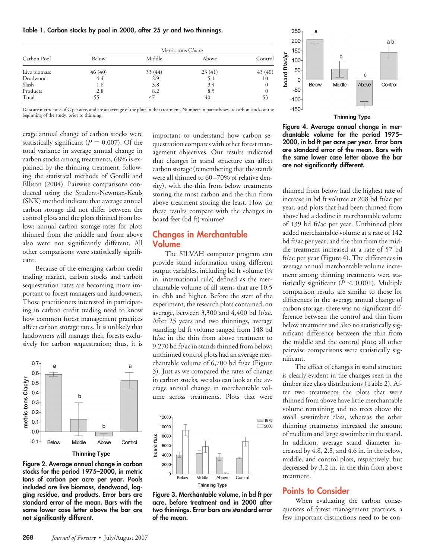#### **Table 1. Carbon stocks by pool in 2000, after 25 yr and two thinnings.**

| Carbon Pool  | Metric tons C/acre |         |        |         |  |
|--------------|--------------------|---------|--------|---------|--|
|              | Below              | Middle  | Above  | Control |  |
| Live biomass | 46(40)             | 33 (44) | 23(41) | 43(40)  |  |
| Deadwood     | 4.4                | 2.9     | 5.1    | 10      |  |
| Slash        | 1.6                | 3.8     | 3.4    |         |  |
| Products     | 2.8                | 8.2     | 8.5    |         |  |
| Total        | 55                 | 47      | 40     | 53      |  |

Data are metric tons of C per acre, and are an average of the plots in that treatment. Numbers in parentheses are carbon stocks at the beginning of the study, prior to thinning.

erage annual change of carbon stocks were statistically significant ( $P = 0.007$ ). Of the total variance in average annual change in carbon stocks among treatments, 68% is explained by the thinning treatment, following the statistical methods of Gotelli and Ellison (2004). Pairwise comparisons conducted using the Student-Newman-Keuls (SNK) method indicate that average annual carbon storage did not differ between the control plots and the plots thinned from below; annual carbon storage rates for plots thinned from the middle and from above also were not significantly different. All other comparisons were statistically significant.

Because of the emerging carbon credit trading market, carbon stocks and carbon sequestration rates are becoming more important to forest managers and landowners. Those practitioners interested in participating in carbon credit trading need to know how common forest management practices affect carbon storage rates. It is unlikely that landowners will manage their forests exclusively for carbon sequestration; thus, it is



**Figure 2. Average annual change in carbon stocks for the period 1975–2000, in metric tons of carbon per acre per year. Pools included are live biomass, deadwood, logging residue, and products. Error bars are standard error of the mean. Bars with the same lower case letter above the bar are not significantly different.**

important to understand how carbon sequestration compares with other forest management objectives. Our results indicated that changes in stand structure can affect carbon storage (remembering that the stands were all thinned to 60–70% of relative density), with the thin from below treatments storing the most carbon and the thin from above treatment storing the least. How do these results compare with the changes in board feet (bd ft) volume?

## **Changes in Merchantable Volume**

The SILVAH computer program can provide stand information using different output variables, including bd ft volume (1⁄4 in. international rule) defined as the merchantable volume of all stems that are 10.5 in. dbh and higher. Before the start of the experiment, the research plots contained, on average, between 3,300 and 4,400 bd ft/ac. After 25 years and two thinnings, average standing bd ft volume ranged from 148 bd ft/ac in the thin from above treatment to 9,270 bd ft/ac in stands thinned from below; unthinned control plots had an average merchantable volume of 6,700 bd ft/ac (Figure 3). Just as we compared the rates of change in carbon stocks, we also can look at the average annual change in merchantable volume across treatments. Plots that were



**Figure 3. Merchantable volume, in bd ft per acre, before treatment and in 2000 after two thinnings. Error bars are standard error of the mean.**



**Figure 4. Average annual change in merchantable volume for the period 1975– 2000, in bd ft per acre per year. Error bars are standard error of the mean. Bars with the same lower case letter above the bar are not significantly different.**

thinned from below had the highest rate of increase in bd ft volume at 208 bd ft/ac per year, and plots that had been thinned from above had a decline in merchantable volume of 139 bd ft/ac per year. Unthinned plots added merchantable volume at a rate of 142 bd ft/ac per year, and the thin from the middle treatment increased at a rate of 57 bd ft/ac per year (Figure 4). The differences in average annual merchantable volume increment among thinning treatments were statistically significant  $(P < 0.001)$ . Multiple comparison results are similar to those for differences in the average annual change of carbon storage: there was no significant difference between the control and thin from below treatment and also no statistically significant difference between the thin from the middle and the control plots; all other pairwise comparisons were statistically significant.

The effect of changes in stand structure is clearly evident in the changes seen in the timber size class distributions (Table 2). After two treatments the plots that were thinned from above have little merchantable volume remaining and no trees above the small sawtimber class, whereas the other thinning treatments increased the amount of medium and large sawtimber in the stand. In addition, average stand diameter increased by 4.8, 2.8, and 4.6 in. in the below, middle, and control plots, respectively, but decreased by 3.2 in. in the thin from above treatment.

#### **Points to Consider**

When evaluating the carbon consequences of forest management practices, a few important distinctions need to be con-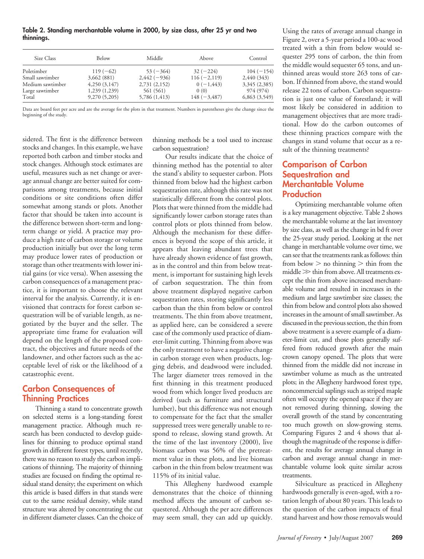**Table 2. Standing merchantable volume in 2000, by size class, after 25 yr and two thinnings.**

| Size Class       | Below        | Middle        | Above           | Control       |
|------------------|--------------|---------------|-----------------|---------------|
| Poletimber       | $119(-62)$   | $53 (-364)$   | $32(-224)$      | $104 (-154)$  |
| Small sawtimber  | 3,662 (881)  | $2,442(-936)$ | $116 (-2, 119)$ | 2,440 (343)   |
| Medium sawtimber | 4,250(3,147) | 2,731(2,152)  | $0(-1, 443)$    | 3,345 (2,385) |
| Large sawtimber  | 1,239(1,239) | 561 (561)     | 0(0)            | 974 (974)     |
| Total            | 9,270(5,205) | 5,786 (1,413) | $148 (-3, 487)$ | 6,863(3,549)  |

Data are board feet per acre and are the average for the plots in that treatment. Numbers in parentheses give the change since the beginning of the study.

sidered. The first is the difference between stocks and changes. In this example, we have reported both carbon and timber stocks and stock changes. Although stock estimates are useful, measures such as net change or average annual change are better suited for comparisons among treatments, because initial conditions or site conditions often differ somewhat among stands or plots. Another factor that should be taken into account is the difference between short-term and longterm change or yield. A practice may produce a high rate of carbon storage or volume production initially but over the long term may produce lower rates of production or storage than other treatments with lower initial gains (or vice versa). When assessing the carbon consequences of a management practice, it is important to choose the relevant interval for the analysis. Currently, it is envisioned that contracts for forest carbon sequestration will be of variable length, as negotiated by the buyer and the seller. The appropriate time frame for evaluation will depend on the length of the proposed contract, the objectives and future needs of the landowner, and other factors such as the acceptable level of risk or the likelihood of a catastrophic event.

# **Carbon Consequences of Thinning Practices**

Thinning a stand to concentrate growth on selected stems is a long-standing forest management practice. Although much research has been conducted to develop guidelines for thinning to produce optimal stand growth in different forest types, until recently, there was no reason to study the carbon implications of thinning. The majority of thinning studies are focused on finding the optimal residual stand density; the experiment on which this article is based differs in that stands were cut to the same residual density, while stand structure was altered by concentrating the cut in different diameter classes. Can the choice of thinning methods be a tool used to increase carbon sequestration?

Our results indicate that the choice of thinning method has the potential to alter the stand's ability to sequester carbon. Plots thinned from below had the highest carbon sequestration rate, although this rate was not statistically different from the control plots. Plots that were thinned from the middle had significantly lower carbon storage rates than control plots or plots thinned from below. Although the mechanism for these differences is beyond the scope of this article, it appears that leaving abundant trees that have already shown evidence of fast growth, as in the control and thin from below treatment, is important for sustaining high levels of carbon sequestration. The thin from above treatment displayed negative carbon sequestration rates, storing significantly less carbon than the thin from below or control treatments. The thin from above treatment, as applied here, can be considered a severe case of the commonly used practice of diameter-limit cutting. Thinning from above was the only treatment to have a negative change in carbon storage even when products, logging debris, and deadwood were included. The larger diameter trees removed in the first thinning in this treatment produced wood from which longer lived products are derived (such as furniture and structural lumber), but this difference was not enough to compensate for the fact that the smaller suppressed trees were generally unable to respond to release, slowing stand growth. At the time of the last inventory (2000), live biomass carbon was 56% of the pretreatment value in these plots, and live biomass carbon in the thin from below treatment was 115% of its initial value.

This Allegheny hardwood example demonstrates that the choice of thinning method affects the amount of carbon sequestered. Although the per acre differences may seem small, they can add up quickly.

Using the rates of average annual change in Figure 2, over a 5-year period a 100-ac wood treated with a thin from below would sequester 295 tons of carbon, the thin from the middle would sequester 65 tons, and unthinned areas would store 263 tons of carbon. If thinned from above, the stand would release 22 tons of carbon. Carbon sequestration is just one value of forestland; it will most likely be considered in addition to management objectives that are more traditional. How do the carbon outcomes of these thinning practices compare with the changes in stand volume that occur as a result of the thinning treatments?

# **Comparison of Carbon Sequestration and Merchantable Volume Production**

Optimizing merchantable volume often is a key management objective. Table 2 shows the merchantable volume at the last inventory by size class, as well as the change in bd ft over the 25-year study period. Looking at the net change in merchantable volume over time, we can see that the treatments rank as follows: thin from below  $>$  no thinning  $>$  thin from the  $\text{middle} \gg \text{thin from above.}$  All treatments except the thin from above increased merchantable volume and resulted in increases in the medium and large sawtimber size classes; the thin from below and control plots also showed increases in the amount of small sawtimber. As discussed in the previous section, the thin from above treatment is a severe example of a diameter-limit cut, and those plots generally suffered from reduced growth after the main crown canopy opened. The plots that were thinned from the middle did not increase in sawtimber volume as much as the untreated plots; in the Allegheny hardwood forest type, noncommercial saplings such as striped maple often will occupy the opened space if they are not removed during thinning, slowing the overall growth of the stand by concentrating too much growth on slow-growing stems. Comparing Figures 2 and 4 shows that although the magnitude of the response is different, the results for average annual change in carbon and average annual change in merchantable volume look quite similar across treatments.

Silviculture as practiced in Allegheny hardwoods generally is even-aged, with a rotation length of about 80 years. This leads to the question of the carbon impacts of final stand harvest and how those removals would